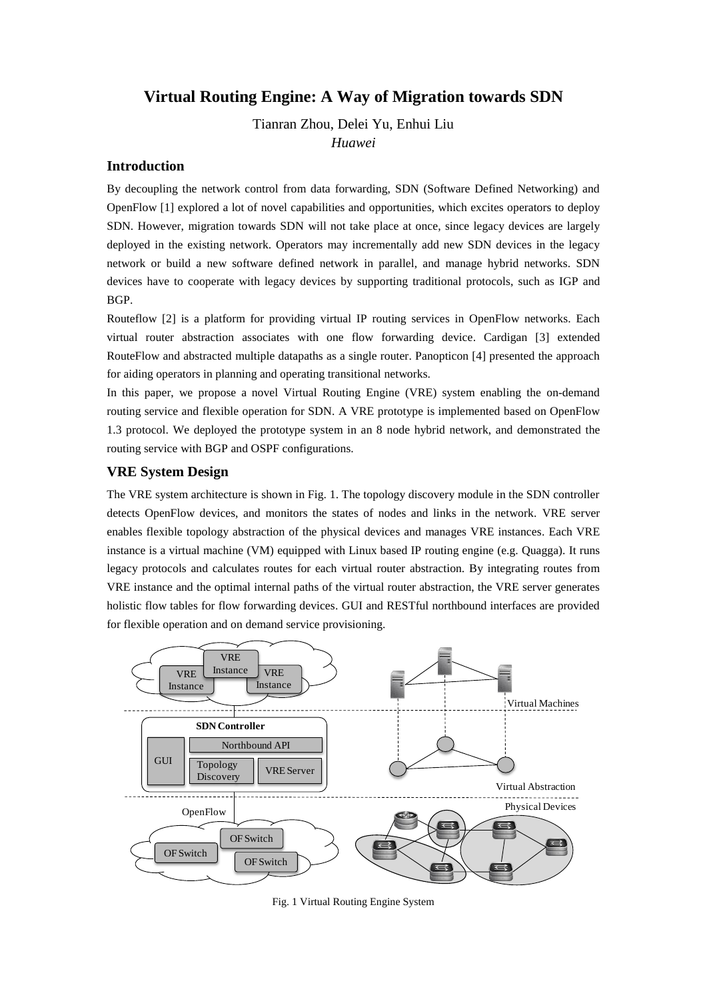# **Virtual Routing Engine: A Way of Migration towards SDN**

Tianran Zhou, Delei Yu, Enhui Liu

*Huawei*

# **Introduction**

By decoupling the network control from data forwarding, SDN (Software Defined Networking) and OpenFlow [1] explored a lot of novel capabilities and opportunities, which excites operators to deploy SDN. However, migration towards SDN will not take place at once, since legacy devices are largely deployed in the existing network. Operators may incrementally add new SDN devices in the legacy network or build a new software defined network in parallel, and manage hybrid networks. SDN devices have to cooperate with legacy devices by supporting traditional protocols, such as IGP and BGP.

Routeflow [2] is a platform for providing virtual IP routing services in OpenFlow networks. Each virtual router abstraction associates with one flow forwarding device. Cardigan [3] extended RouteFlow and abstracted multiple datapaths as a single router. Panopticon [4] presented the approach for aiding operators in planning and operating transitional networks.

In this paper, we propose a novel Virtual Routing Engine (VRE) system enabling the on-demand routing service and flexible operation for SDN. A VRE prototype is implemented based on OpenFlow 1.3 protocol. We deployed the prototype system in an 8 node hybrid network, and demonstrated the routing service with BGP and OSPF configurations.

# **VRE System Design**

The VRE system architecture is shown in Fig. 1. The topology discovery module in the SDN controller detects OpenFlow devices, and monitors the states of nodes and links in the network. VRE server enables flexible topology abstraction of the physical devices and manages VRE instances. Each VRE instance is a virtual machine (VM) equipped with Linux based IP routing engine (e.g. Quagga). It runs legacy protocols and calculates routes for each virtual router abstraction. By integrating routes from VRE instance and the optimal internal paths of the virtual router abstraction, the VRE server generates holistic flow tables for flow forwarding devices. GUI and RESTful northbound interfaces are provided for flexible operation and on demand service provisioning.



Fig. 1 Virtual Routing Engine System